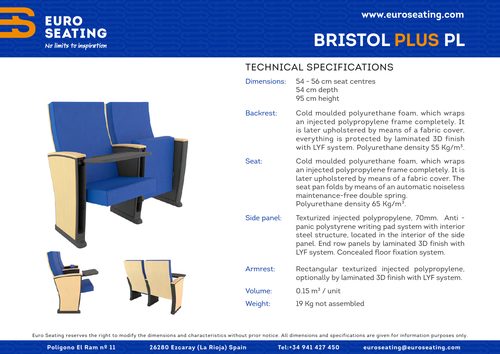

# **BRISTOL PLUS PL**

#### TECHNICAL SPECIFICATIONS

- 54 56 cm seat centres 54 cm depth 95 cm height Dimensions:
	- Cold moulded polyurethane foam, which wraps an injected polypropylene frame completely. It is later upholstered by means of a fabric cover, everything is protected by laminated 3D finish with LYF system. Polyurethane density 55 Kg/m<sup>3</sup>. Backrest:
- Cold moulded polyurethane foam, which wraps an injected polypropylene frame completely. It is later upholstered by means of a fabric cover. The seat pan folds by means of an automatic noiseless maintenance-free double spring. Polyurethane density 65 Kg/m<sup>3</sup>. Seat:
- Texturized injected polypropylene, 70mm. Anti panic polystyrene writing pad system with interior steel structure, located in the interior of the side panel. End row panels by laminated 3D finish with LYF system. Concealed floor fixation system. Side panel:
- Rectangular texturized injected polypropylene, optionally by laminated 3D finish with LYF system. Armrest:

0.15  $m^3$  / unit Volume:

19 Kg not assembled Weight: